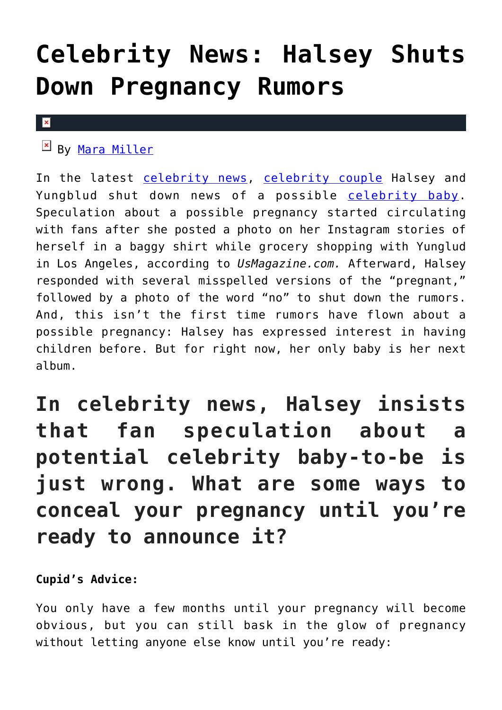## **[Celebrity News: Halsey Shuts](https://cupidspulse.com/129794/celebrity-news-halsey-shuts-down-pregnancy-rumors/) [Down Pregnancy Rumors](https://cupidspulse.com/129794/celebrity-news-halsey-shuts-down-pregnancy-rumors/)**

## $\pmb{\times}$

By [Mara Miller](http://cupidspulse.com/128278/mara-miller/)

In the latest [celebrity news,](http://cupidspulse.com/celebrity-news/) [celebrity couple](http://cupidspulse.com/celebrity-news/celebrity-dating/) Halsey and Yungblud shut down news of a possible [celebrity baby.](http://cupidspulse.com/celebrity-relationships/celebrity-babies/) Speculation about a possible pregnancy started circulating with fans after she posted a photo on her Instagram stories of herself in a baggy shirt while grocery shopping with Yunglud in Los Angeles, according to *UsMagazine.com.* Afterward, Halsey responded with several misspelled versions of the "pregnant," followed by a photo of the word "no" to shut down the rumors. And, this isn't the first time rumors have flown about a possible pregnancy: Halsey has expressed interest in having children before. But for right now, her only baby is her next album.

## **In celebrity news, Halsey insists that fan speculation about a potential celebrity baby-to-be is just wrong. What are some ways to conceal your pregnancy until you're ready to announce it?**

**Cupid's Advice:**

You only have a few months until your pregnancy will become obvious, but you can still bask in the glow of pregnancy without letting anyone else know until you're ready: